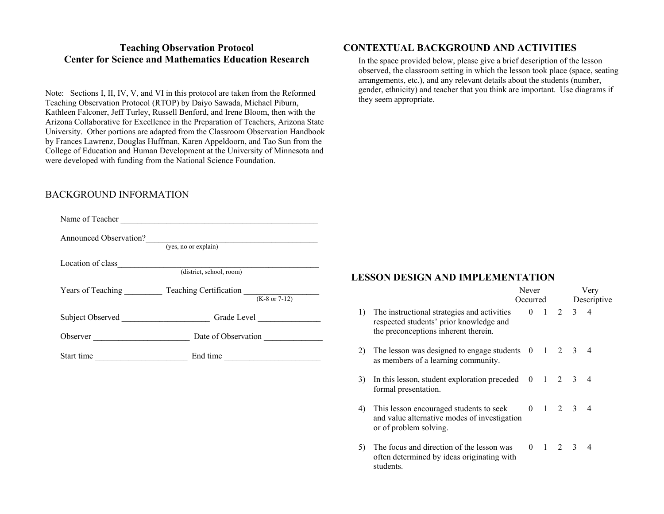#### **Teaching Observation Protocol Center for Science and Mathematics Education Research**

Note: Sections I, II, IV, V, and VI in this protocol are taken from the Reformed Teaching Observation Protocol (RTOP) by Daiyo Sawada, Michael Piburn, Kathleen Falconer, Jeff Turley, Russell Benford, and Irene Bloom, then with the Arizona Collaborative for Excellence in the Preparation of Teachers, Arizona State University. Other portions are adapted from the Classroom Observation Handbook by Frances Lawrenz, Douglas Huffman, Karen Appeldoorn, and Tao Sun from the College of Education and Human Development at the University of Minnesota and were developed with funding from the National Science Foundation.

### BACKGROUND INFORMATION

|            | Name of Teacher                                |
|------------|------------------------------------------------|
|            | Announced Observation?<br>(yes, no or explain) |
|            | Location of class<br>(district, school, room)  |
|            |                                                |
|            |                                                |
|            |                                                |
| Start time | End time                                       |
|            |                                                |
|            |                                                |

# **CONTEXTUAL BACKGROUND AND ACTIVITIES**

In the space provided below, please give a brief description of the lesson observed, the classroom setting in which the lesson took place (space, seating arrangements, etc.), and any relevant details about the students (number, gender, ethnicity) and teacher that you think are important. Use diagrams if they seem appropriate.

#### **LESSON DESIGN AND IMPLEMENTATION**

|    |                                                                                                                                | Never<br>Occurred |  |                     | Very        |                |  |
|----|--------------------------------------------------------------------------------------------------------------------------------|-------------------|--|---------------------|-------------|----------------|--|
|    |                                                                                                                                |                   |  |                     | Descriptive |                |  |
| 1) | The instructional strategies and activities<br>respected students' prior knowledge and<br>the preconceptions inherent therein. | $\Omega$          |  | $1 \quad 2 \quad 3$ |             | $\overline{4}$ |  |
| 2) | The lesson was designed to engage students $0 \quad 1 \quad 2 \quad 3 \quad 4$<br>as members of a learning community.          |                   |  |                     |             |                |  |
| 3) | In this lesson, student exploration preceded $0 \quad 1 \quad 2 \quad 3$<br>formal presentation.                               |                   |  |                     |             | $\overline{4}$ |  |
| 4) | This lesson encouraged students to seek<br>and value alternative modes of investigation<br>or of problem solving.              |                   |  | $0 \t1 \t2 \t3 \t4$ |             |                |  |
| 5) | The focus and direction of the lesson was<br>often determined by ideas originating with<br>students.                           |                   |  | $0 \t1 \t2 \t3 \t4$ |             |                |  |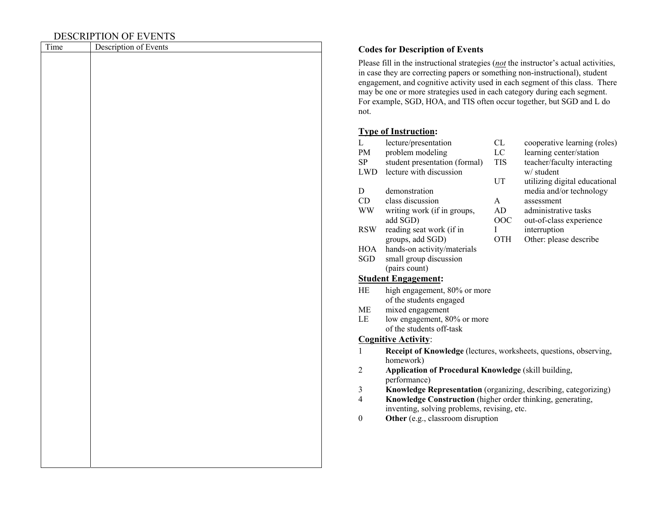# DESCRIPTION OF EVENTS

| Time | Description of Events |
|------|-----------------------|
|      |                       |
|      |                       |
|      |                       |
|      |                       |
|      |                       |
|      |                       |
|      |                       |
|      |                       |
|      |                       |
|      |                       |
|      |                       |
|      |                       |
|      |                       |
|      |                       |
|      |                       |
|      |                       |
|      |                       |
|      |                       |
|      |                       |
|      |                       |
|      |                       |
|      |                       |
|      |                       |
|      |                       |
|      |                       |
|      |                       |
|      |                       |
|      |                       |
|      |                       |
|      |                       |
|      |                       |
|      |                       |
|      |                       |

#### Description of Events **Codes for Description of Events**

Please fill in the instructional strategies (*not* the instructor's actual activities, in case they are correcting papers or something non-instructional), student engagement, and cognitive activity used in each segment of this class. There may be one or more strategies used in each category during each segment. For example, SGD, HOA, and TIS often occur together, but SGD and L do not.

# **Type of Instruction:**

| L                | lecture/presentation                                              | CL         | cooperative learning (roles)  |  |  |  |  |
|------------------|-------------------------------------------------------------------|------------|-------------------------------|--|--|--|--|
| PM               | problem modeling                                                  | LC         | learning center/station       |  |  |  |  |
| SP               | student presentation (formal)                                     | <b>TIS</b> | teacher/faculty interacting   |  |  |  |  |
| <b>LWD</b>       | lecture with discussion                                           |            | w/ student                    |  |  |  |  |
|                  |                                                                   | UT         | utilizing digital educational |  |  |  |  |
| D                | demonstration                                                     |            | media and/or technology       |  |  |  |  |
| CD               | class discussion                                                  | A          | assessment                    |  |  |  |  |
| <b>WW</b>        | writing work (if in groups,                                       | AD         | administrative tasks          |  |  |  |  |
|                  | add SGD)                                                          | OOC        | out-of-class experience       |  |  |  |  |
| <b>RSW</b>       | reading seat work (if in                                          | L          | interruption                  |  |  |  |  |
|                  | groups, add SGD)                                                  | <b>OTH</b> | Other: please describe        |  |  |  |  |
| <b>HOA</b>       | hands-on activity/materials                                       |            |                               |  |  |  |  |
| SGD              | small group discussion                                            |            |                               |  |  |  |  |
|                  | (pairs count)                                                     |            |                               |  |  |  |  |
|                  | <b>Student Engagement:</b>                                        |            |                               |  |  |  |  |
| HE               | high engagement, 80% or more                                      |            |                               |  |  |  |  |
|                  | of the students engaged                                           |            |                               |  |  |  |  |
| <b>ME</b>        | mixed engagement                                                  |            |                               |  |  |  |  |
| LE               | low engagement, 80% or more                                       |            |                               |  |  |  |  |
|                  | of the students off-task                                          |            |                               |  |  |  |  |
|                  | <b>Cognitive Activity:</b>                                        |            |                               |  |  |  |  |
| 1                | Receipt of Knowledge (lectures, worksheets, questions, observing, |            |                               |  |  |  |  |
|                  | homework)                                                         |            |                               |  |  |  |  |
| $\overline{2}$   | Application of Procedural Knowledge (skill building,              |            |                               |  |  |  |  |
|                  | performance)                                                      |            |                               |  |  |  |  |
| 3                | Knowledge Representation (organizing, describing, categorizing)   |            |                               |  |  |  |  |
| $\overline{4}$   | Knowledge Construction (higher order thinking, generating,        |            |                               |  |  |  |  |
|                  | inventing, solving problems, revising, etc.                       |            |                               |  |  |  |  |
| $\boldsymbol{0}$ | Other (e.g., classroom disruption                                 |            |                               |  |  |  |  |
|                  |                                                                   |            |                               |  |  |  |  |
|                  |                                                                   |            |                               |  |  |  |  |
|                  |                                                                   |            |                               |  |  |  |  |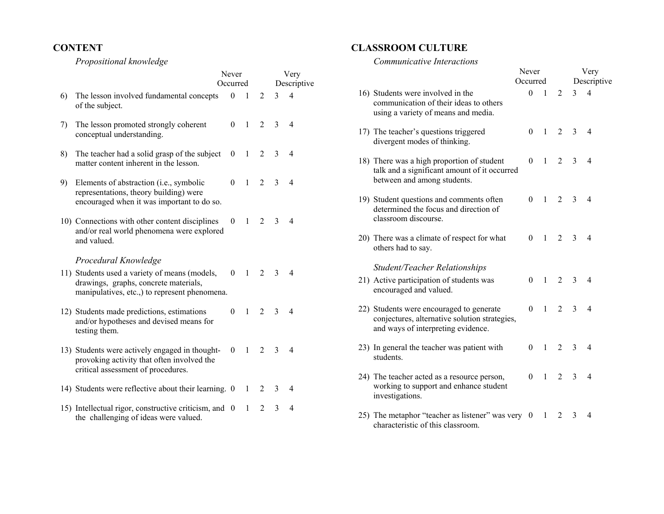#### **CONTENT**

 *Propositional knowledge* 

|    |                                                                                                                                    | Never    |                |                | Very         |                |  |
|----|------------------------------------------------------------------------------------------------------------------------------------|----------|----------------|----------------|--------------|----------------|--|
|    |                                                                                                                                    | Occurred |                |                | Descriptive  |                |  |
| 6) | The lesson involved fundamental concepts<br>of the subject.                                                                        | $\theta$ | 1              | $\overline{c}$ | 3            | $\overline{4}$ |  |
| 7) | The lesson promoted strongly coherent<br>conceptual understanding.                                                                 | 0        | $\mathbf{1}$   | $\overline{2}$ | $\mathbf{3}$ | $\overline{4}$ |  |
| 8) | The teacher had a solid grasp of the subject<br>matter content inherent in the lesson.                                             | $\theta$ | $\mathbf{1}$   | 2              | 3            | $\overline{4}$ |  |
| 9) | Elements of abstraction (i.e., symbolic<br>representations, theory building) were<br>encouraged when it was important to do so.    | $\theta$ | $\mathbf{1}$   | $\overline{2}$ | 3            | $\overline{4}$ |  |
|    | 10) Connections with other content disciplines<br>and/or real world phenomena were explored<br>and valued.                         | $\theta$ | $\mathbf{1}$   | $\overline{2}$ | 3            | $\overline{4}$ |  |
|    | Procedural Knowledge<br>11) Students used a variety of means (models,                                                              | $\theta$ | $\overline{1}$ | 2              | 3            | $\overline{4}$ |  |
|    | drawings, graphs, concrete materials,<br>manipulatives, etc., to represent phenomena.                                              |          |                |                |              |                |  |
|    | 12) Students made predictions, estimations<br>and/or hypotheses and devised means for<br>testing them.                             | $\theta$ | $\mathbf{1}$   | 2              | 3            | $\overline{4}$ |  |
|    | 13) Students were actively engaged in thought-<br>provoking activity that often involved the<br>critical assessment of procedures. | $\Omega$ | $\mathbf{1}$   | $\overline{2}$ | $\mathbf{3}$ | 4              |  |
|    | 14) Students were reflective about their learning. 0                                                                               |          | 1              | $\overline{2}$ | 3            | $\overline{4}$ |  |
|    | 15) Intellectual rigor, constructive criticism, and 0<br>the challenging of ideas were valued.                                     |          | 1              | $\mathfrak{D}$ | 3            | $\overline{4}$ |  |

#### **CLASSROOM CULTURE**

#### *Communicative Interactions*

|                                                                                                                                 | Never<br>Occurred |              |                | Very<br>Descriptive |                |
|---------------------------------------------------------------------------------------------------------------------------------|-------------------|--------------|----------------|---------------------|----------------|
| 16) Students were involved in the<br>communication of their ideas to others<br>using a variety of means and media.              | $\Omega$          | $\mathbf{1}$ | $\overline{c}$ | 3                   | $\overline{4}$ |
| 17) The teacher's questions triggered<br>divergent modes of thinking.                                                           | $\theta$          | $\mathbf{1}$ | $\overline{2}$ | 3                   | $\overline{4}$ |
| 18) There was a high proportion of student<br>talk and a significant amount of it occurred<br>between and among students.       | $\theta$          | $\mathbf{1}$ | 2              | 3                   | $\overline{4}$ |
| 19) Student questions and comments often<br>determined the focus and direction of<br>classroom discourse.                       | 0                 | $\mathbf{1}$ | 2              | 3                   | $\overline{4}$ |
| 20) There was a climate of respect for what<br>others had to say.                                                               | $\theta$          | $\mathbf{1}$ | 2              | 3                   | $\overline{4}$ |
| <b>Student/Teacher Relationships</b>                                                                                            |                   |              |                |                     |                |
| 21) Active participation of students was<br>encouraged and valued.                                                              | $\Omega$          | $\mathbf{1}$ | $\overline{2}$ | 3                   | $\overline{4}$ |
| 22) Students were encouraged to generate<br>conjectures, alternative solution strategies,<br>and ways of interpreting evidence. | $\theta$          | $\mathbf{1}$ | 2              | 3                   | $\overline{4}$ |
| 23) In general the teacher was patient with<br>students.                                                                        | $\theta$          | $\mathbf{1}$ | 2              | 3                   | $\overline{4}$ |
| 24) The teacher acted as a resource person,<br>working to support and enhance student<br>investigations.                        | $\theta$          | $\mathbf{1}$ | 2              | 3                   | $\overline{4}$ |
| 25) The metaphor "teacher as listener" was very 0<br>characteristic of this classroom.                                          |                   | 1            | 2              | 3                   | 4              |